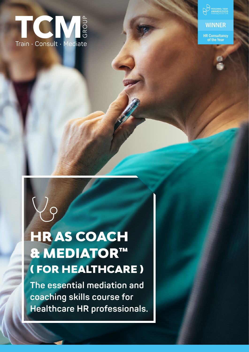



**WINNER** 

HR Consultancy of the Year

# HR AS COACH & MEDIATOR™ ( FOR HEALTHCARE )

**The essential mediation and coaching skills course for Healthcare HR professionals.**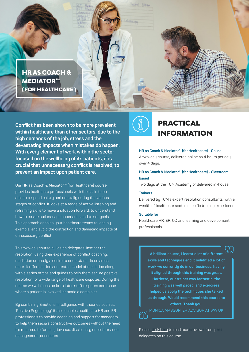

**Conflict has been shown to be more prevalent within healthcare than other sectors, due to the high demands of the job, stress and the devastating impacts when mistakes do happen. With every element of work within the sector focused on the wellbeing of its patients, it is crucial that unnecessary conflict is resolved, to prevent an impact upon patient care.**

Our HR as Coach & Mediator<sup>™</sup> (for Healthcare) course provides healthcare professionals with the skills to be able to respond calmly and neutrally during the various stages of conflict. It looks at a range of active listening and reframing skills to move a situation forward, to understand how to create and manage boundaries and to set goals. This approach enables your healthcare teams to lead by example, and avoid the distraction and damaging impacts of unnecessary conflict.

This two-day course builds on delegates' instinct for resolution; using their experience of conflict coaching, mediation or purely a desire to understand these areas more. It offers a tried and tested model of mediation along with a series of tips and guides to help them secure positive resolution for a wide range of healthcare disputes. During the course we will focus on both inter-staff disputes and those where a patient is involved, or made a complaint.

By combining Emotional Intelligence with theories such as 'Positive Psychology', it also enables healthcare HR and ER professionals to provide coaching and support for managers to help them secure constructive outcomes without the need for recourse to formal grievance, disciplinary or performance management procedures.



# PRACTICAL INFORMATION

#### **HR as Coach & Mediator™ (for Healthcare) - Online** A two-day course, delivered online as 4 hours per day over 4 days.

### **HR as Coach & Mediator™ (for Healthcare) - Classroom based**

Two days at the TCM Academy or delivered in-house.

#### **Trainers**

Delivered by TCM's expert resolution consultants, with a wealth of healthcare sector-specific training experience.

#### **Suitable for**

Healthcare HR, ER, OD and learning and development professionals.

**A brilliant course, I learnt a lot of different skills and techniques and it solidified a lot of work we currently do in our business, having it aligned through this training was great. Harriette, our trainer was fantastic, the training was well paced, and exercises helped us apply the techniques she talked us through. Would recommend this course to others. Thank you.**  MONICA MASSON, ER ADVISOR AT WW UK<u>ና</u>

Please [click here](https://thetcmgroup.com/customer-testimonials/) to read more reviews from past delegates on this course.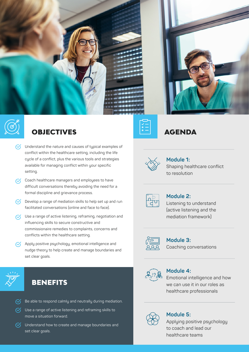



# **OBJECTIVES**

- $\sqrt{\phantom{a}}$  Understand the nature and causes of typical examples of conflict within the healthcare setting, including the life cycle of a conflict, plus the various tools and strategies available for managing conflict within your specific setting.
- $\heartsuit$  Coach healthcare managers and employees to have difficult conversations thereby avoiding the need for a formal discipline and grievance process.
- $\heartsuit$  Develop a range of mediation skills to help set up and run facilitated conversations (online and face to face).
- $\sqrt{\phantom{a}}$  Use a range of active listening, reframing, negotiation and influencing skills to secure constructive and commissionaire remedies to complaints, concerns and conflicts within the healthcare setting.
- $\sqrt{\phantom{a}}$  Apply positive psychology, emotional intelligence and nudge theory to help create and manage boundaries and set clear goals.



# **BENEFITS**

- $\heartsuit$  Be able to respond calmly and neutrally during mediation.
- $\heartsuit$  Use a range of active listening and reframing skills to move a situation forward.
- $\heartsuit$  Understand how to create and manage boundaries and set clear goals.







**Module 1:**  Shaping healthcare conflict to resolution



### **Module 2:**

Listening to understand (active listening and the mediation framework)



# **Module 3:**

Coaching conversations



## **Module 4:**

Emotional intelligence and how we can use it in our roles as healthcare professionals



# **Module 5:**

Applying positive psychology to coach and lead our healthcare teams